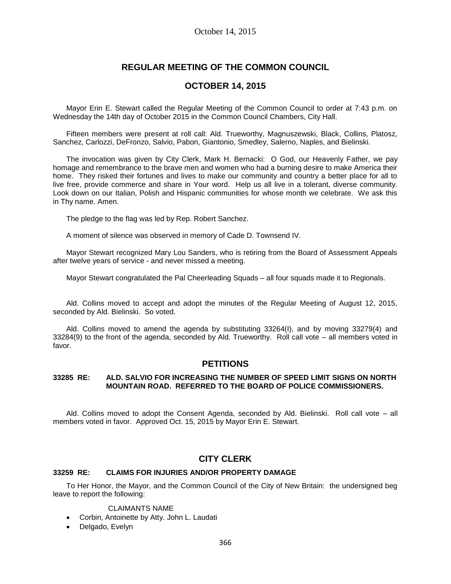# **REGULAR MEETING OF THE COMMON COUNCIL**

# **OCTOBER 14, 2015**

Mayor Erin E. Stewart called the Regular Meeting of the Common Council to order at 7:43 p.m. on Wednesday the 14th day of October 2015 in the Common Council Chambers, City Hall.

Fifteen members were present at roll call: Ald. Trueworthy, Magnuszewski, Black, Collins, Platosz, Sanchez, Carlozzi, DeFronzo, Salvio, Pabon, Giantonio, Smedley, Salerno, Naples, and Bielinski.

The invocation was given by City Clerk, Mark H. Bernacki: O God, our Heavenly Father, we pay homage and remembrance to the brave men and women who had a burning desire to make America their home. They risked their fortunes and lives to make our community and country a better place for all to live free, provide commerce and share in Your word. Help us all live in a tolerant, diverse community. Look down on our Italian, Polish and Hispanic communities for whose month we celebrate. We ask this in Thy name. Amen.

The pledge to the flag was led by Rep. Robert Sanchez.

A moment of silence was observed in memory of Cade D. Townsend IV.

Mayor Stewart recognized Mary Lou Sanders, who is retiring from the Board of Assessment Appeals after twelve years of service - and never missed a meeting.

Mayor Stewart congratulated the Pal Cheerleading Squads – all four squads made it to Regionals.

Ald. Collins moved to accept and adopt the minutes of the Regular Meeting of August 12, 2015, seconded by Ald. Bielinski. So voted.

Ald. Collins moved to amend the agenda by substituting 33264(I), and by moving 33279(4) and 33284(9) to the front of the agenda, seconded by Ald. Trueworthy. Roll call vote – all members voted in favor.

## **PETITIONS**

## **33285 RE: ALD. SALVIO FOR INCREASING THE NUMBER OF SPEED LIMIT SIGNS ON NORTH MOUNTAIN ROAD. REFERRED TO THE BOARD OF POLICE COMMISSIONERS.**

Ald. Collins moved to adopt the Consent Agenda, seconded by Ald. Bielinski. Roll call vote – all members voted in favor. Approved Oct. 15, 2015 by Mayor Erin E. Stewart.

# **CITY CLERK**

## **33259 RE: CLAIMS FOR INJURIES AND/OR PROPERTY DAMAGE**

To Her Honor, the Mayor, and the Common Council of the City of New Britain: the undersigned beg leave to report the following:

#### CLAIMANTS NAME

- Corbin, Antoinette by Atty. John L. Laudati
- Delgado, Evelyn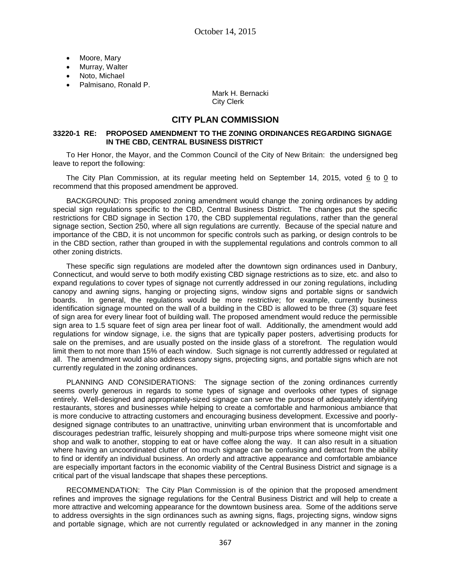- Moore, Mary
- Murray, Walter
- Noto, Michael
- Palmisano, Ronald P.

Mark H. Bernacki City Clerk

## **CITY PLAN COMMISSION**

### **33220-1 RE: PROPOSED AMENDMENT TO THE ZONING ORDINANCES REGARDING SIGNAGE IN THE CBD, CENTRAL BUSINESS DISTRICT**

To Her Honor, the Mayor, and the Common Council of the City of New Britain: the undersigned beg leave to report the following:

The City Plan Commission, at its regular meeting held on September 14, 2015, voted 6 to 0 to recommend that this proposed amendment be approved.

BACKGROUND: This proposed zoning amendment would change the zoning ordinances by adding special sign regulations specific to the CBD, Central Business District. The changes put the specific restrictions for CBD signage in Section 170, the CBD supplemental regulations, rather than the general signage section, Section 250, where all sign regulations are currently. Because of the special nature and importance of the CBD, it is not uncommon for specific controls such as parking, or design controls to be in the CBD section, rather than grouped in with the supplemental regulations and controls common to all other zoning districts.

These specific sign regulations are modeled after the downtown sign ordinances used in Danbury, Connecticut, and would serve to both modify existing CBD signage restrictions as to size, etc. and also to expand regulations to cover types of signage not currently addressed in our zoning regulations, including canopy and awning signs, hanging or projecting signs, window signs and portable signs or sandwich boards. In general, the regulations would be more restrictive; for example, currently business identification signage mounted on the wall of a building in the CBD is allowed to be three (3) square feet of sign area for every linear foot of building wall. The proposed amendment would reduce the permissible sign area to 1.5 square feet of sign area per linear foot of wall. Additionally, the amendment would add regulations for window signage, i.e. the signs that are typically paper posters, advertising products for sale on the premises, and are usually posted on the inside glass of a storefront. The regulation would limit them to not more than 15% of each window. Such signage is not currently addressed or regulated at all. The amendment would also address canopy signs, projecting signs, and portable signs which are not currently regulated in the zoning ordinances.

PLANNING AND CONSIDERATIONS: The signage section of the zoning ordinances currently seems overly generous in regards to some types of signage and overlooks other types of signage entirely. Well-designed and appropriately-sized signage can serve the purpose of adequately identifying restaurants, stores and businesses while helping to create a comfortable and harmonious ambiance that is more conducive to attracting customers and encouraging business development. Excessive and poorlydesigned signage contributes to an unattractive, uninviting urban environment that is uncomfortable and discourages pedestrian traffic, leisurely shopping and multi-purpose trips where someone might visit one shop and walk to another, stopping to eat or have coffee along the way. It can also result in a situation where having an uncoordinated clutter of too much signage can be confusing and detract from the ability to find or identify an individual business. An orderly and attractive appearance and comfortable ambiance are especially important factors in the economic viability of the Central Business District and signage is a critical part of the visual landscape that shapes these perceptions.

RECOMMENDATION: The City Plan Commission is of the opinion that the proposed amendment refines and improves the signage regulations for the Central Business District and will help to create a more attractive and welcoming appearance for the downtown business area. Some of the additions serve to address oversights in the sign ordinances such as awning signs, flags, projecting signs, window signs and portable signage, which are not currently regulated or acknowledged in any manner in the zoning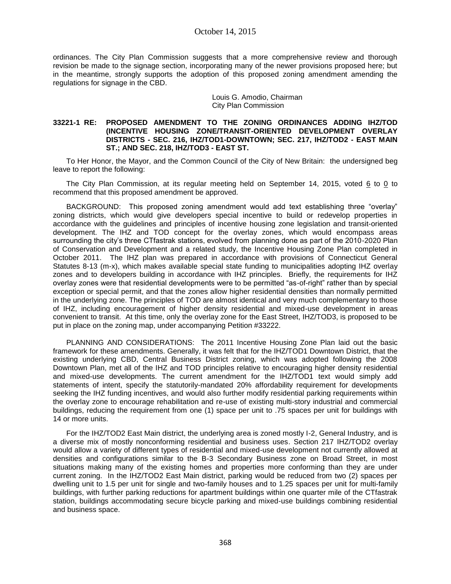## October 14, 2015

ordinances. The City Plan Commission suggests that a more comprehensive review and thorough revision be made to the signage section, incorporating many of the newer provisions proposed here; but in the meantime, strongly supports the adoption of this proposed zoning amendment amending the regulations for signage in the CBD.

> Louis G. Amodio, Chairman City Plan Commission

#### **33221-1 RE: PROPOSED AMENDMENT TO THE ZONING ORDINANCES ADDING IHZ/TOD (INCENTIVE HOUSING ZONE/TRANSIT-ORIENTED DEVELOPMENT OVERLAY DISTRICTS - SEC. 216, IHZ/TOD1-DOWNTOWN; SEC. 217, IHZ/TOD2 - EAST MAIN ST.; AND SEC. 218, IHZ/TOD3 - EAST ST.**

To Her Honor, the Mayor, and the Common Council of the City of New Britain: the undersigned beg leave to report the following:

The City Plan Commission, at its regular meeting held on September 14, 2015, voted 6 to 0 to recommend that this proposed amendment be approved.

BACKGROUND: This proposed zoning amendment would add text establishing three "overlay" zoning districts, which would give developers special incentive to build or redevelop properties in accordance with the guidelines and principles of incentive housing zone legislation and transit-oriented development. The IHZ and TOD concept for the overlay zones, which would encompass areas surrounding the city's three CTfastrak stations, evolved from planning done as part of the 2010-2020 Plan of Conservation and Development and a related study, the Incentive Housing Zone Plan completed in October 2011. The IHZ plan was prepared in accordance with provisions of Connecticut General Statutes 8-13 (m-x), which makes available special state funding to municipalities adopting IHZ overlay zones and to developers building in accordance with IHZ principles. Briefly, the requirements for IHZ overlay zones were that residential developments were to be permitted "as-of-right" rather than by special exception or special permit, and that the zones allow higher residential densities than normally permitted in the underlying zone. The principles of TOD are almost identical and very much complementary to those of IHZ, including encouragement of higher density residential and mixed-use development in areas convenient to transit. At this time, only the overlay zone for the East Street, IHZ/TOD3, is proposed to be put in place on the zoning map, under accompanying Petition #33222.

PLANNING AND CONSIDERATIONS: The 2011 Incentive Housing Zone Plan laid out the basic framework for these amendments. Generally, it was felt that for the IHZ/TOD1 Downtown District, that the existing underlying CBD, Central Business District zoning, which was adopted following the 2008 Downtown Plan, met all of the IHZ and TOD principles relative to encouraging higher density residential and mixed-use developments. The current amendment for the IHZ/TOD1 text would simply add statements of intent, specify the statutorily-mandated 20% affordability requirement for developments seeking the IHZ funding incentives, and would also further modify residential parking requirements within the overlay zone to encourage rehabilitation and re-use of existing multi-story industrial and commercial buildings, reducing the requirement from one (1) space per unit to .75 spaces per unit for buildings with 14 or more units.

For the IHZ/TOD2 East Main district, the underlying area is zoned mostly I-2, General Industry, and is a diverse mix of mostly nonconforming residential and business uses. Section 217 IHZ/TOD2 overlay would allow a variety of different types of residential and mixed-use development not currently allowed at densities and configurations similar to the B-3 Secondary Business zone on Broad Street, in most situations making many of the existing homes and properties more conforming than they are under current zoning. In the IHZ/TOD2 East Main district, parking would be reduced from two (2) spaces per dwelling unit to 1.5 per unit for single and two-family houses and to 1.25 spaces per unit for multi-family buildings, with further parking reductions for apartment buildings within one quarter mile of the CTfastrak station, buildings accommodating secure bicycle parking and mixed-use buildings combining residential and business space.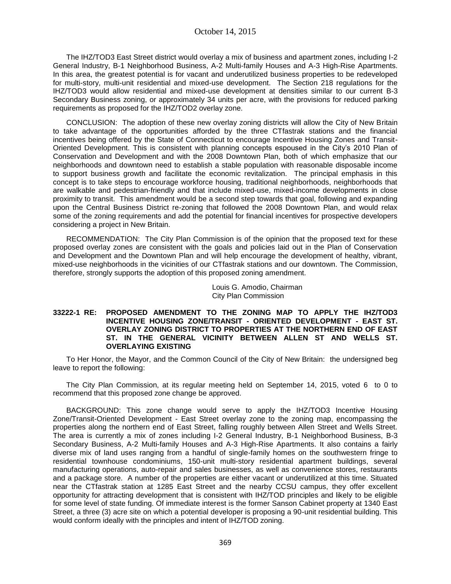The IHZ/TOD3 East Street district would overlay a mix of business and apartment zones, including I-2 General Industry, B-1 Neighborhood Business, A-2 Multi-family Houses and A-3 High-Rise Apartments. In this area, the greatest potential is for vacant and underutilized business properties to be redeveloped for multi-story, multi-unit residential and mixed-use development. The Section 218 regulations for the IHZ/TOD3 would allow residential and mixed-use development at densities similar to our current B-3 Secondary Business zoning, or approximately 34 units per acre, with the provisions for reduced parking requirements as proposed for the IHZ/TOD2 overlay zone.

CONCLUSION: The adoption of these new overlay zoning districts will allow the City of New Britain to take advantage of the opportunities afforded by the three CTfastrak stations and the financial incentives being offered by the State of Connecticut to encourage Incentive Housing Zones and Transit-Oriented Development. This is consistent with planning concepts espoused in the City's 2010 Plan of Conservation and Development and with the 2008 Downtown Plan, both of which emphasize that our neighborhoods and downtown need to establish a stable population with reasonable disposable income to support business growth and facilitate the economic revitalization. The principal emphasis in this concept is to take steps to encourage workforce housing, traditional neighborhoods, neighborhoods that are walkable and pedestrian-friendly and that include mixed-use, mixed-income developments in close proximity to transit. This amendment would be a second step towards that goal, following and expanding upon the Central Business District re-zoning that followed the 2008 Downtown Plan, and would relax some of the zoning requirements and add the potential for financial incentives for prospective developers considering a project in New Britain.

RECOMMENDATION: The City Plan Commission is of the opinion that the proposed text for these proposed overlay zones are consistent with the goals and policies laid out in the Plan of Conservation and Development and the Downtown Plan and will help encourage the development of healthy, vibrant, mixed-use neighborhoods in the vicinities of our CTfastrak stations and our downtown. The Commission, therefore, strongly supports the adoption of this proposed zoning amendment.

> Louis G. Amodio, Chairman City Plan Commission

#### **33222-1 RE: PROPOSED AMENDMENT TO THE ZONING MAP TO APPLY THE IHZ/TOD3 INCENTIVE HOUSING ZONE/TRANSIT - ORIENTED DEVELOPMENT - EAST ST. OVERLAY ZONING DISTRICT TO PROPERTIES AT THE NORTHERN END OF EAST ST. IN THE GENERAL VICINITY BETWEEN ALLEN ST AND WELLS ST. OVERLAYING EXISTING**

To Her Honor, the Mayor, and the Common Council of the City of New Britain: the undersigned beg leave to report the following:

The City Plan Commission, at its regular meeting held on September 14, 2015, voted 6 to 0 to recommend that this proposed zone change be approved.

BACKGROUND: This zone change would serve to apply the IHZ/TOD3 Incentive Housing Zone/Transit-Oriented Development - East Street overlay zone to the zoning map, encompassing the properties along the northern end of East Street, falling roughly between Allen Street and Wells Street. The area is currently a mix of zones including I-2 General Industry, B-1 Neighborhood Business, B-3 Secondary Business, A-2 Multi-family Houses and A-3 High-Rise Apartments. It also contains a fairly diverse mix of land uses ranging from a handful of single-family homes on the southwestern fringe to residential townhouse condominiums, 150-unit multi-story residential apartment buildings, several manufacturing operations, auto-repair and sales businesses, as well as convenience stores, restaurants and a package store. A number of the properties are either vacant or underutilized at this time. Situated near the CTfastrak station at 1285 East Street and the nearby CCSU campus, they offer excellent opportunity for attracting development that is consistent with IHZ/TOD principles and likely to be eligible for some level of state funding. Of immediate interest is the former Sanson Cabinet property at 1340 East Street, a three (3) acre site on which a potential developer is proposing a 90-unit residential building. This would conform ideally with the principles and intent of IHZ/TOD zoning.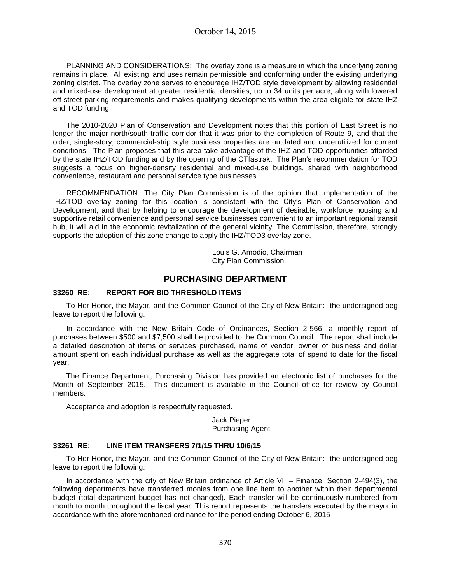PLANNING AND CONSIDERATIONS: The overlay zone is a measure in which the underlying zoning remains in place. All existing land uses remain permissible and conforming under the existing underlying zoning district. The overlay zone serves to encourage IHZ/TOD style development by allowing residential and mixed-use development at greater residential densities, up to 34 units per acre, along with lowered off-street parking requirements and makes qualifying developments within the area eligible for state IHZ and TOD funding.

The 2010-2020 Plan of Conservation and Development notes that this portion of East Street is no longer the major north/south traffic corridor that it was prior to the completion of Route 9, and that the older, single-story, commercial-strip style business properties are outdated and underutilized for current conditions. The Plan proposes that this area take advantage of the IHZ and TOD opportunities afforded by the state IHZ/TOD funding and by the opening of the CTfastrak. The Plan's recommendation for TOD suggests a focus on higher-density residential and mixed-use buildings, shared with neighborhood convenience, restaurant and personal service type businesses.

RECOMMENDATION: The City Plan Commission is of the opinion that implementation of the IHZ/TOD overlay zoning for this location is consistent with the City's Plan of Conservation and Development, and that by helping to encourage the development of desirable, workforce housing and supportive retail convenience and personal service businesses convenient to an important regional transit hub, it will aid in the economic revitalization of the general vicinity. The Commission, therefore, strongly supports the adoption of this zone change to apply the IHZ/TOD3 overlay zone.

> Louis G. Amodio, Chairman City Plan Commission

# **PURCHASING DEPARTMENT**

## **33260 RE: REPORT FOR BID THRESHOLD ITEMS**

To Her Honor, the Mayor, and the Common Council of the City of New Britain: the undersigned beg leave to report the following:

In accordance with the New Britain Code of Ordinances, Section 2-566, a monthly report of purchases between \$500 and \$7,500 shall be provided to the Common Council. The report shall include a detailed description of items or services purchased, name of vendor, owner of business and dollar amount spent on each individual purchase as well as the aggregate total of spend to date for the fiscal year.

The Finance Department, Purchasing Division has provided an electronic list of purchases for the Month of September 2015. This document is available in the Council office for review by Council members.

Acceptance and adoption is respectfully requested.

Jack Pieper Purchasing Agent

### **33261 RE: LINE ITEM TRANSFERS 7/1/15 THRU 10/6/15**

To Her Honor, the Mayor, and the Common Council of the City of New Britain: the undersigned beg leave to report the following:

In accordance with the city of New Britain ordinance of Article VII – Finance, Section 2-494(3), the following departments have transferred monies from one line item to another within their departmental budget (total department budget has not changed). Each transfer will be continuously numbered from month to month throughout the fiscal year. This report represents the transfers executed by the mayor in accordance with the aforementioned ordinance for the period ending October 6, 2015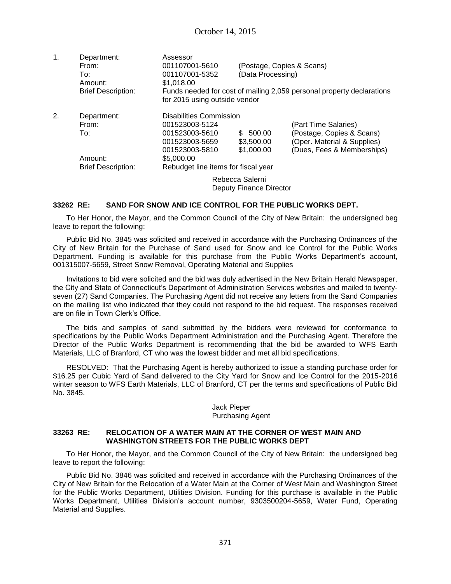| $\mathbf{1}$ . | Department:               | Assessor                            |                         |                                                                       |
|----------------|---------------------------|-------------------------------------|-------------------------|-----------------------------------------------------------------------|
|                | From:                     | 001107001-5610                      |                         | (Postage, Copies & Scans)                                             |
|                | To:                       | 001107001-5352                      | (Data Processing)       |                                                                       |
|                | Amount:                   | \$1,018.00                          |                         |                                                                       |
|                | <b>Brief Description:</b> | for 2015 using outside vendor       |                         | Funds needed for cost of mailing 2,059 personal property declarations |
| 2.             | Department:               | Disabilities Commission             |                         |                                                                       |
|                | From:                     | 001523003-5124                      |                         | (Part Time Salaries)                                                  |
|                | To:                       | 001523003-5610                      | \$<br>500.00            | (Postage, Copies & Scans)                                             |
|                |                           | 001523003-5659                      | \$3,500.00              | (Oper. Material & Supplies)                                           |
|                |                           | 001523003-5810                      | \$1,000.00              | (Dues, Fees & Memberships)                                            |
|                | Amount:                   | \$5,000.00                          |                         |                                                                       |
|                | <b>Brief Description:</b> | Rebudget line items for fiscal year |                         |                                                                       |
|                |                           |                                     | Rebecca Salerni         |                                                                       |
|                |                           |                                     | Deputy Finance Director |                                                                       |

### **33262 RE: SAND FOR SNOW AND ICE CONTROL FOR THE PUBLIC WORKS DEPT.**

To Her Honor, the Mayor, and the Common Council of the City of New Britain: the undersigned beg leave to report the following:

Public Bid No. 3845 was solicited and received in accordance with the Purchasing Ordinances of the City of New Britain for the Purchase of Sand used for Snow and Ice Control for the Public Works Department. Funding is available for this purchase from the Public Works Department's account, 001315007-5659, Street Snow Removal, Operating Material and Supplies

Invitations to bid were solicited and the bid was duly advertised in the New Britain Herald Newspaper, the City and State of Connecticut's Department of Administration Services websites and mailed to twentyseven (27) Sand Companies. The Purchasing Agent did not receive any letters from the Sand Companies on the mailing list who indicated that they could not respond to the bid request. The responses received are on file in Town Clerk's Office.

The bids and samples of sand submitted by the bidders were reviewed for conformance to specifications by the Public Works Department Administration and the Purchasing Agent. Therefore the Director of the Public Works Department is recommending that the bid be awarded to WFS Earth Materials, LLC of Branford, CT who was the lowest bidder and met all bid specifications.

RESOLVED: That the Purchasing Agent is hereby authorized to issue a standing purchase order for \$16.25 per Cubic Yard of Sand delivered to the City Yard for Snow and Ice Control for the 2015-2016 winter season to WFS Earth Materials, LLC of Branford, CT per the terms and specifications of Public Bid No. 3845.

### Jack Pieper Purchasing Agent

### **33263 RE: RELOCATION OF A WATER MAIN AT THE CORNER OF WEST MAIN AND WASHINGTON STREETS FOR THE PUBLIC WORKS DEPT**

To Her Honor, the Mayor, and the Common Council of the City of New Britain: the undersigned beg leave to report the following:

Public Bid No. 3846 was solicited and received in accordance with the Purchasing Ordinances of the City of New Britain for the Relocation of a Water Main at the Corner of West Main and Washington Street for the Public Works Department, Utilities Division. Funding for this purchase is available in the Public Works Department, Utilities Division's account number, 9303500204-5659, Water Fund, Operating Material and Supplies.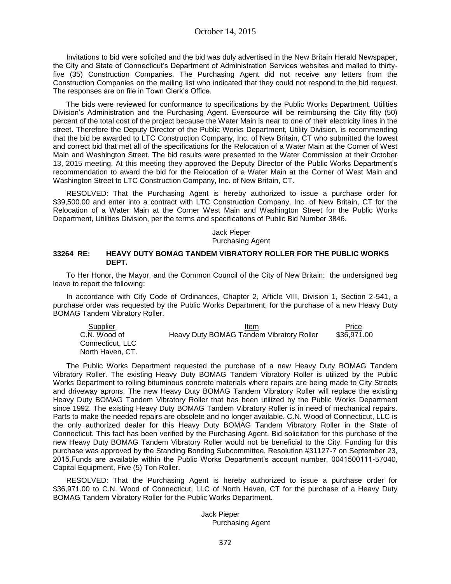Invitations to bid were solicited and the bid was duly advertised in the New Britain Herald Newspaper, the City and State of Connecticut's Department of Administration Services websites and mailed to thirtyfive (35) Construction Companies. The Purchasing Agent did not receive any letters from the Construction Companies on the mailing list who indicated that they could not respond to the bid request. The responses are on file in Town Clerk's Office.

The bids were reviewed for conformance to specifications by the Public Works Department, Utilities Division's Administration and the Purchasing Agent. Eversource will be reimbursing the City fifty (50) percent of the total cost of the project because the Water Main is near to one of their electricity lines in the street. Therefore the Deputy Director of the Public Works Department, Utility Division, is recommending that the bid be awarded to LTC Construction Company, Inc. of New Britain, CT who submitted the lowest and correct bid that met all of the specifications for the Relocation of a Water Main at the Corner of West Main and Washington Street. The bid results were presented to the Water Commission at their October 13, 2015 meeting. At this meeting they approved the Deputy Director of the Public Works Department's recommendation to award the bid for the Relocation of a Water Main at the Corner of West Main and Washington Street to LTC Construction Company, Inc. of New Britain, CT.

RESOLVED: That the Purchasing Agent is hereby authorized to issue a purchase order for \$39,500.00 and enter into a contract with LTC Construction Company, Inc. of New Britain, CT for the Relocation of a Water Main at the Corner West Main and Washington Street for the Public Works Department, Utilities Division, per the terms and specifications of Public Bid Number 3846.

#### Jack Pieper Purchasing Agent

#### **33264 RE: HEAVY DUTY BOMAG TANDEM VIBRATORY ROLLER FOR THE PUBLIC WORKS DEPT.**

To Her Honor, the Mayor, and the Common Council of the City of New Britain: the undersigned beg leave to report the following:

In accordance with City Code of Ordinances, Chapter 2, Article VIII, Division 1, Section 2-541, a purchase order was requested by the Public Works Department, for the purchase of a new Heavy Duty BOMAG Tandem Vibratory Roller.

| Supplier         | Item                                     | Price       |
|------------------|------------------------------------------|-------------|
| C.N. Wood of     | Heavy Duty BOMAG Tandem Vibratory Roller | \$36,971.00 |
| Connecticut. LLC |                                          |             |
| North Haven, CT. |                                          |             |

The Public Works Department requested the purchase of a new Heavy Duty BOMAG Tandem Vibratory Roller. The existing Heavy Duty BOMAG Tandem Vibratory Roller is utilized by the Public Works Department to rolling bituminous concrete materials where repairs are being made to City Streets and driveway aprons. The new Heavy Duty BOMAG Tandem Vibratory Roller will replace the existing Heavy Duty BOMAG Tandem Vibratory Roller that has been utilized by the Public Works Department since 1992. The existing Heavy Duty BOMAG Tandem Vibratory Roller is in need of mechanical repairs. Parts to make the needed repairs are obsolete and no longer available. C.N. Wood of Connecticut, LLC is the only authorized dealer for this Heavy Duty BOMAG Tandem Vibratory Roller in the State of Connecticut. This fact has been verified by the Purchasing Agent. Bid solicitation for this purchase of the new Heavy Duty BOMAG Tandem Vibratory Roller would not be beneficial to the City. Funding for this purchase was approved by the Standing Bonding Subcommittee, Resolution #31127-7 on September 23, 2015.Funds are available within the Public Works Department's account number, 0041500111-57040, Capital Equipment, Five (5) Ton Roller.

RESOLVED: That the Purchasing Agent is hereby authorized to issue a purchase order for \$36,971.00 to C.N. Wood of Connecticut, LLC of North Haven, CT for the purchase of a Heavy Duty BOMAG Tandem Vibratory Roller for the Public Works Department.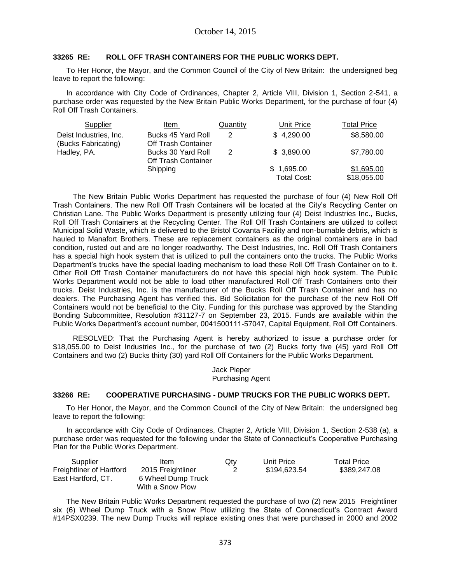## **33265 RE: ROLL OFF TRASH CONTAINERS FOR THE PUBLIC WORKS DEPT.**

To Her Honor, the Mayor, and the Common Council of the City of New Britain: the undersigned beg leave to report the following:

In accordance with City Code of Ordinances, Chapter 2, Article VIII, Division 1, Section 2-541, a purchase order was requested by the New Britain Public Works Department, for the purchase of four (4) Roll Off Trash Containers.

| Supplier                                      | Item                                             | <b>Quantity</b> | Unit Price                | <b>Total Price</b>        |
|-----------------------------------------------|--------------------------------------------------|-----------------|---------------------------|---------------------------|
| Deist Industries, Inc.<br>(Bucks Fabricating) | Bucks 45 Yard Roll<br><b>Off Trash Container</b> | 2               | \$4,290.00                | \$8,580.00                |
| Hadley, PA.                                   | Bucks 30 Yard Roll<br><b>Off Trash Container</b> | 2               | \$3,890.00                | \$7,780.00                |
|                                               | Shipping                                         |                 | \$1,695.00<br>Total Cost: | \$1,695.00<br>\$18,055.00 |

The New Britain Public Works Department has requested the purchase of four (4) New Roll Off Trash Containers. The new Roll Off Trash Containers will be located at the City's Recycling Center on Christian Lane. The Public Works Department is presently utilizing four (4) Deist Industries Inc., Bucks, Roll Off Trash Containers at the Recycling Center. The Roll Off Trash Containers are utilized to collect Municipal Solid Waste, which is delivered to the Bristol Covanta Facility and non-burnable debris, which is hauled to Manafort Brothers. These are replacement containers as the original containers are in bad condition, rusted out and are no longer roadworthy. The Deist Industries, Inc. Roll Off Trash Containers has a special high hook system that is utilized to pull the containers onto the trucks. The Public Works Department's trucks have the special loading mechanism to load these Roll Off Trash Container on to it. Other Roll Off Trash Container manufacturers do not have this special high hook system. The Public Works Department would not be able to load other manufactured Roll Off Trash Containers onto their trucks. Deist Industries, Inc. is the manufacturer of the Bucks Roll Off Trash Container and has no dealers. The Purchasing Agent has verified this. Bid Solicitation for the purchase of the new Roll Off Containers would not be beneficial to the City. Funding for this purchase was approved by the Standing Bonding Subcommittee, Resolution #31127-7 on September 23, 2015. Funds are available within the Public Works Department's account number, 0041500111-57047, Capital Equipment, Roll Off Containers.

RESOLVED: That the Purchasing Agent is hereby authorized to issue a purchase order for \$18,055.00 to Deist Industries Inc., for the purchase of two (2) Bucks forty five (45) yard Roll Off Containers and two (2) Bucks thirty (30) yard Roll Off Containers for the Public Works Department.

> Jack Pieper Purchasing Agent

## **33266 RE: COOPERATIVE PURCHASING - DUMP TRUCKS FOR THE PUBLIC WORKS DEPT.**

To Her Honor, the Mayor, and the Common Council of the City of New Britain: the undersigned beg leave to report the following:

In accordance with City Code of Ordinances, Chapter 2, Article VIII, Division 1, Section 2-538 (a), a purchase order was requested for the following under the State of Connecticut's Cooperative Purchasing Plan for the Public Works Department.

| Supplier                 | Item               | $Q$ ty | Unit Price   | <b>Total Price</b> |
|--------------------------|--------------------|--------|--------------|--------------------|
| Freightliner of Hartford | 2015 Freightliner  |        | \$194,623.54 | \$389,247.08       |
| East Hartford, CT.       | 6 Wheel Dump Truck |        |              |                    |
|                          | With a Snow Plow   |        |              |                    |

The New Britain Public Works Department requested the purchase of two (2) new 2015 Freightliner six (6) Wheel Dump Truck with a Snow Plow utilizing the State of Connecticut's Contract Award #14PSX0239. The new Dump Trucks will replace existing ones that were purchased in 2000 and 2002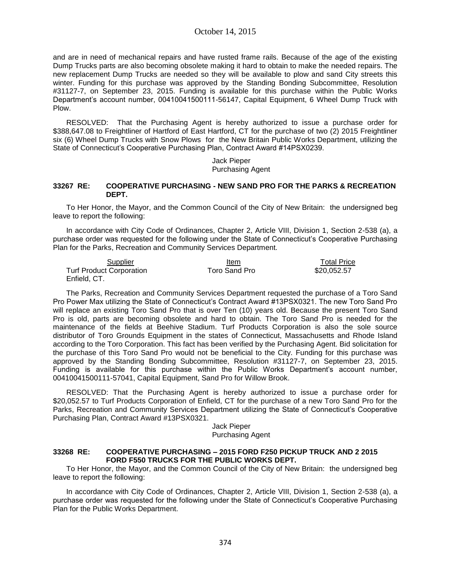and are in need of mechanical repairs and have rusted frame rails. Because of the age of the existing Dump Trucks parts are also becoming obsolete making it hard to obtain to make the needed repairs. The new replacement Dump Trucks are needed so they will be available to plow and sand City streets this winter. Funding for this purchase was approved by the Standing Bonding Subcommittee, Resolution #31127-7, on September 23, 2015. Funding is available for this purchase within the Public Works Department's account number, 00410041500111-56147, Capital Equipment, 6 Wheel Dump Truck with Plow.

RESOLVED: That the Purchasing Agent is hereby authorized to issue a purchase order for \$388,647,08 to Freightliner of Hartford of East Hartford, CT for the purchase of two (2) 2015 Freightliner six (6) Wheel Dump Trucks with Snow Plows for the New Britain Public Works Department, utilizing the State of Connecticut's Cooperative Purchasing Plan, Contract Award #14PSX0239.

> Jack Pieper Purchasing Agent

#### **33267 RE: COOPERATIVE PURCHASING - NEW SAND PRO FOR THE PARKS & RECREATION DEPT.**

To Her Honor, the Mayor, and the Common Council of the City of New Britain: the undersigned beg leave to report the following:

In accordance with City Code of Ordinances, Chapter 2, Article VIII, Division 1, Section 2-538 (a), a purchase order was requested for the following under the State of Connecticut's Cooperative Purchasing Plan for the Parks, Recreation and Community Services Department.

| Supplier                        | Item          | <b>Total Price</b> |
|---------------------------------|---------------|--------------------|
| <b>Turf Product Corporation</b> | Toro Sand Pro | \$20.052.57        |
| Enfield, CT.                    |               |                    |

The Parks, Recreation and Community Services Department requested the purchase of a Toro Sand Pro Power Max utilizing the State of Connecticut's Contract Award #13PSX0321. The new Toro Sand Pro will replace an existing Toro Sand Pro that is over Ten (10) years old. Because the present Toro Sand Pro is old, parts are becoming obsolete and hard to obtain. The Toro Sand Pro is needed for the maintenance of the fields at Beehive Stadium. Turf Products Corporation is also the sole source distributor of Toro Grounds Equipment in the states of Connecticut, Massachusetts and Rhode Island according to the Toro Corporation. This fact has been verified by the Purchasing Agent. Bid solicitation for the purchase of this Toro Sand Pro would not be beneficial to the City. Funding for this purchase was approved by the Standing Bonding Subcommittee, Resolution #31127-7, on September 23, 2015. Funding is available for this purchase within the Public Works Department's account number, 00410041500111-57041, Capital Equipment, Sand Pro for Willow Brook.

RESOLVED: That the Purchasing Agent is hereby authorized to issue a purchase order for \$20,052.57 to Turf Products Corporation of Enfield, CT for the purchase of a new Toro Sand Pro for the Parks, Recreation and Community Services Department utilizing the State of Connecticut's Cooperative Purchasing Plan, Contract Award #13PSX0321.

#### Jack Pieper Purchasing Agent

#### **33268 RE: COOPERATIVE PURCHASING – 2015 FORD F250 PICKUP TRUCK AND 2 2015 FORD F550 TRUCKS FOR THE PUBLIC WORKS DEPT.**

To Her Honor, the Mayor, and the Common Council of the City of New Britain: the undersigned beg leave to report the following:

In accordance with City Code of Ordinances, Chapter 2, Article VIII, Division 1, Section 2-538 (a), a purchase order was requested for the following under the State of Connecticut's Cooperative Purchasing Plan for the Public Works Department.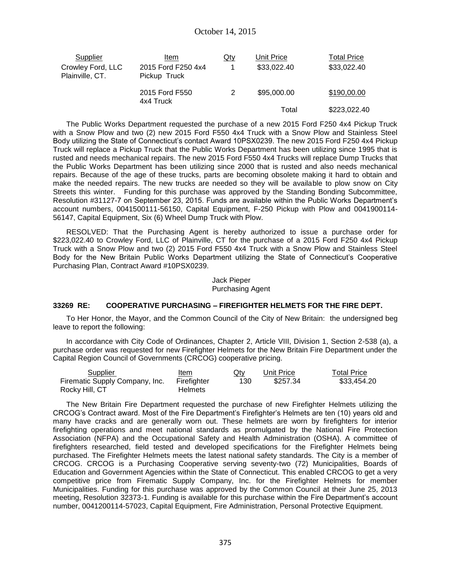| <b>Supplier</b>                      | ltem                               | <u>Qty</u> | Unit Price  | <b>Total Price</b> |
|--------------------------------------|------------------------------------|------------|-------------|--------------------|
| Crowley Ford, LLC<br>Plainville, CT. | 2015 Ford F250 4x4<br>Pickup Truck |            | \$33,022.40 | \$33,022.40        |
|                                      | 2015 Ford F550<br>4x4 Truck        | 2          | \$95,000.00 | \$190,00.00        |
|                                      |                                    |            | Total       | \$223,022.40       |

The Public Works Department requested the purchase of a new 2015 Ford F250 4x4 Pickup Truck with a Snow Plow and two (2) new 2015 Ford F550 4x4 Truck with a Snow Plow and Stainless Steel Body utilizing the State of Connecticut's contact Award 10PSX0239. The new 2015 Ford F250 4x4 Pickup Truck will replace a Pickup Truck that the Public Works Department has been utilizing since 1995 that is rusted and needs mechanical repairs. The new 2015 Ford F550 4x4 Trucks will replace Dump Trucks that the Public Works Department has been utilizing since 2000 that is rusted and also needs mechanical repairs. Because of the age of these trucks, parts are becoming obsolete making it hard to obtain and make the needed repairs. The new trucks are needed so they will be available to plow snow on City Streets this winter. Funding for this purchase was approved by the Standing Bonding Subcommittee, Resolution #31127-7 on September 23, 2015. Funds are available within the Public Works Department's account numbers, 0041500111-56150, Capital Equipment, F-250 Pickup with Plow and 0041900114- 56147, Capital Equipment, Six (6) Wheel Dump Truck with Plow.

RESOLVED: That the Purchasing Agent is hereby authorized to issue a purchase order for \$223,022.40 to Crowley Ford, LLC of Plainville, CT for the purchase of a 2015 Ford F250 4x4 Pickup Truck with a Snow Plow and two (2) 2015 Ford F550 4x4 Truck with a Snow Plow and Stainless Steel Body for the New Britain Public Works Department utilizing the State of Connecticut's Cooperative Purchasing Plan, Contract Award #10PSX0239.

> Jack Pieper Purchasing Agent

### **33269 RE: COOPERATIVE PURCHASING – FIREFIGHTER HELMETS FOR THE FIRE DEPT.**

To Her Honor, the Mayor, and the Common Council of the City of New Britain: the undersigned beg leave to report the following:

In accordance with City Code of Ordinances, Chapter 2, Article VIII, Division 1, Section 2-538 (a), a purchase order was requested for new Firefighter Helmets for the New Britain Fire Department under the Capital Region Council of Governments (CRCOG) cooperative pricing.

| Supplier                       | Item           | Qty | Unit Price | Total Price |
|--------------------------------|----------------|-----|------------|-------------|
| Firematic Supply Company, Inc. | Firefiahter    | 130 | \$257.34   | \$33.454.20 |
| Rocky Hill, CT                 | <b>Helmets</b> |     |            |             |

The New Britain Fire Department requested the purchase of new Firefighter Helmets utilizing the CRCOG's Contract award. Most of the Fire Department's Firefighter's Helmets are ten (10) years old and many have cracks and are generally worn out. These helmets are worn by firefighters for interior firefighting operations and meet national standards as promulgated by the National Fire Protection Association (NFPA) and the Occupational Safety and Health Administration (OSHA). A committee of firefighters researched, field tested and developed specifications for the Firefighter Helmets being purchased. The Firefighter Helmets meets the latest national safety standards. The City is a member of CRCOG. CRCOG is a Purchasing Cooperative serving seventy-two (72) Municipalities, Boards of Education and Government Agencies within the State of Connecticut. This enabled CRCOG to get a very competitive price from Firematic Supply Company, Inc. for the Firefighter Helmets for member Municipalities. Funding for this purchase was approved by the Common Council at their June 25, 2013 meeting, Resolution 32373-1. Funding is available for this purchase within the Fire Department's account number, 0041200114-57023, Capital Equipment, Fire Administration, Personal Protective Equipment.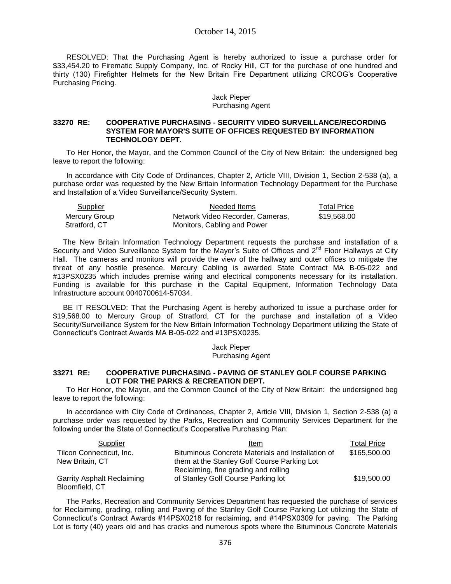## October 14, 2015

RESOLVED: That the Purchasing Agent is hereby authorized to issue a purchase order for \$33,454.20 to Firematic Supply Company, Inc. of Rocky Hill, CT for the purchase of one hundred and thirty (130) Firefighter Helmets for the New Britain Fire Department utilizing CRCOG's Cooperative Purchasing Pricing.

#### Jack Pieper Purchasing Agent

## **33270 RE: COOPERATIVE PURCHASING - SECURITY VIDEO SURVEILLANCE/RECORDING SYSTEM FOR MAYOR'S SUITE OF OFFICES REQUESTED BY INFORMATION TECHNOLOGY DEPT.**

To Her Honor, the Mayor, and the Common Council of the City of New Britain: the undersigned beg leave to report the following:

In accordance with City Code of Ordinances, Chapter 2, Article VIII, Division 1, Section 2-538 (a), a purchase order was requested by the New Britain Information Technology Department for the Purchase and Installation of a Video Surveillance/Security System.

| Supplier      | Needed Items                     | <b>Total Price</b> |
|---------------|----------------------------------|--------------------|
| Mercury Group | Network Video Recorder, Cameras. | \$19,568,00        |
| Stratford, CT | Monitors, Cabling and Power      |                    |

The New Britain Information Technology Department requests the purchase and installation of a Security and Video Surveillance System for the Mayor's Suite of Offices and  $2^{nd}$  Floor Hallways at City Hall. The cameras and monitors will provide the view of the hallway and outer offices to mitigate the threat of any hostile presence. Mercury Cabling is awarded State Contract MA B-05-022 and #13PSX0235 which includes premise wiring and electrical components necessary for its installation. Funding is available for this purchase in the Capital Equipment, Information Technology Data Infrastructure account 0040700614-57034.

BE IT RESOLVED: That the Purchasing Agent is hereby authorized to issue a purchase order for \$19,568.00 to Mercury Group of Stratford, CT for the purchase and installation of a Video Security/Surveillance System for the New Britain Information Technology Department utilizing the State of Connecticut's Contract Awards MA B-05-022 and #13PSX0235.

> Jack Pieper Purchasing Agent

### **33271 RE: COOPERATIVE PURCHASING - PAVING OF STANLEY GOLF COURSE PARKING LOT FOR THE PARKS & RECREATION DEPT.**

To Her Honor, the Mayor, and the Common Council of the City of New Britain: the undersigned beg leave to report the following:

In accordance with City Code of Ordinances, Chapter 2, Article VIII, Division 1, Section 2-538 (a) a purchase order was requested by the Parks, Recreation and Community Services Department for the following under the State of Connecticut's Cooperative Purchasing Plan:

| Supplier                          | Item                                              | <b>Total Price</b> |
|-----------------------------------|---------------------------------------------------|--------------------|
| Tilcon Connecticut, Inc.          | Bituminous Concrete Materials and Installation of | \$165,500.00       |
| New Britain, CT                   | them at the Stanley Golf Course Parking Lot       |                    |
|                                   | Reclaiming, fine grading and rolling              |                    |
| <b>Garrity Asphalt Reclaiming</b> | of Stanley Golf Course Parking lot                | \$19,500.00        |
| Bloomfield, CT                    |                                                   |                    |

The Parks, Recreation and Community Services Department has requested the purchase of services for Reclaiming, grading, rolling and Paving of the Stanley Golf Course Parking Lot utilizing the State of Connecticut's Contract Awards #14PSX0218 for reclaiming, and #14PSX0309 for paving. The Parking Lot is forty (40) years old and has cracks and numerous spots where the Bituminous Concrete Materials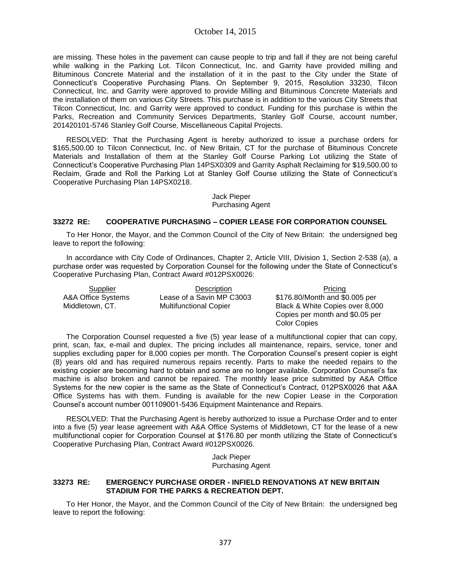are missing. These holes in the pavement can cause people to trip and fall if they are not being careful while walking in the Parking Lot. Tilcon Connecticut, Inc. and Garrity have provided milling and Bituminous Concrete Material and the installation of it in the past to the City under the State of Connecticut's Cooperative Purchasing Plans. On September 9, 2015, Resolution 33230, Tilcon Connecticut, Inc. and Garrity were approved to provide Milling and Bituminous Concrete Materials and the installation of them on various City Streets. This purchase is in addition to the various City Streets that Tilcon Connecticut, Inc. and Garrity were approved to conduct. Funding for this purchase is within the Parks, Recreation and Community Services Departments, Stanley Golf Course, account number, 201420101-5746 Stanley Golf Course, Miscellaneous Capital Projects.

RESOLVED: That the Purchasing Agent is hereby authorized to issue a purchase orders for \$165,500.00 to Tilcon Connecticut, Inc. of New Britain, CT for the purchase of Bituminous Concrete Materials and Installation of them at the Stanley Golf Course Parking Lot utilizing the State of Connecticut's Cooperative Purchasing Plan 14PSX0309 and Garrity Asphalt Reclaiming for \$19,500.00 to Reclaim, Grade and Roll the Parking Lot at Stanley Golf Course utilizing the State of Connecticut's Cooperative Purchasing Plan 14PSX0218.

### Jack Pieper Purchasing Agent

## **33272 RE: COOPERATIVE PURCHASING – COPIER LEASE FOR CORPORATION COUNSEL**

To Her Honor, the Mayor, and the Common Council of the City of New Britain: the undersigned beg leave to report the following:

In accordance with City Code of Ordinances, Chapter 2, Article VIII, Division 1, Section 2-538 (a), a purchase order was requested by Corporation Counsel for the following under the State of Connecticut's Cooperative Purchasing Plan, Contract Award #012PSX0026:

 A&A Office Systems Middletown, CT.

Lease of a Savin MP C3003 Multifunctional Copier

Supplier Description Description Pricing \$176.80/Month and \$0.005 per Black & White Copies over 8,000 Copies per month and \$0.05 per Color Copies

The Corporation Counsel requested a five (5) year lease of a multifunctional copier that can copy, print, scan, fax, e-mail and duplex. The pricing includes all maintenance, repairs, service, toner and supplies excluding paper for 8,000 copies per month. The Corporation Counsel's present copier is eight (8) years old and has required numerous repairs recently. Parts to make the needed repairs to the existing copier are becoming hard to obtain and some are no longer available. Corporation Counsel's fax machine is also broken and cannot be repaired. The monthly lease price submitted by A&A Office Systems for the new copier is the same as the State of Connecticut's Contract, 012PSX0026 that A&A Office Systems has with them. Funding is available for the new Copier Lease in the Corporation Counsel's account number 001109001-5436 Equipment Maintenance and Repairs.

RESOLVED: That the Purchasing Agent is hereby authorized to issue a Purchase Order and to enter into a five (5) year lease agreement with A&A Office Systems of Middletown, CT for the lease of a new multifunctional copier for Corporation Counsel at \$176.80 per month utilizing the State of Connecticut's Cooperative Purchasing Plan, Contract Award #012PSX0026.

> Jack Pieper Purchasing Agent

## **33273 RE: EMERGENCY PURCHASE ORDER - INFIELD RENOVATIONS AT NEW BRITAIN STADIUM FOR THE PARKS & RECREATION DEPT.**

To Her Honor, the Mayor, and the Common Council of the City of New Britain: the undersigned beg leave to report the following: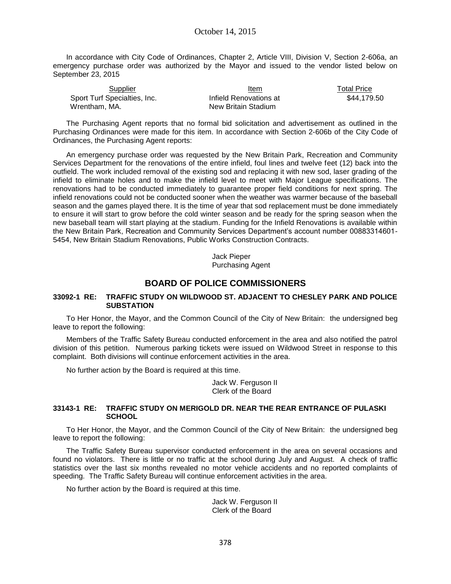In accordance with City Code of Ordinances, Chapter 2, Article VIII, Division V, Section 2-606a, an emergency purchase order was authorized by the Mayor and issued to the vendor listed below on September 23, 2015

| Supplier                     | Item                   | Total Price |
|------------------------------|------------------------|-------------|
| Sport Turf Specialties, Inc. | Infield Renovations at | \$44.179.50 |
| Wrentham. MA.                | New Britain Stadium    |             |

The Purchasing Agent reports that no formal bid solicitation and advertisement as outlined in the Purchasing Ordinances were made for this item. In accordance with Section 2-606b of the City Code of Ordinances, the Purchasing Agent reports:

An emergency purchase order was requested by the New Britain Park, Recreation and Community Services Department for the renovations of the entire infield, foul lines and twelve feet (12) back into the outfield. The work included removal of the existing sod and replacing it with new sod, laser grading of the infield to eliminate holes and to make the infield level to meet with Major League specifications. The renovations had to be conducted immediately to guarantee proper field conditions for next spring. The infield renovations could not be conducted sooner when the weather was warmer because of the baseball season and the games played there. It is the time of year that sod replacement must be done immediately to ensure it will start to grow before the cold winter season and be ready for the spring season when the new baseball team will start playing at the stadium. Funding for the Infield Renovations is available within the New Britain Park, Recreation and Community Services Department's account number 00883314601- 5454, New Britain Stadium Renovations, Public Works Construction Contracts.

> Jack Pieper Purchasing Agent

# **BOARD OF POLICE COMMISSIONERS**

#### **33092-1 RE: TRAFFIC STUDY ON WILDWOOD ST. ADJACENT TO CHESLEY PARK AND POLICE SUBSTATION**

To Her Honor, the Mayor, and the Common Council of the City of New Britain: the undersigned beg leave to report the following:

Members of the Traffic Safety Bureau conducted enforcement in the area and also notified the patrol division of this petition. Numerous parking tickets were issued on Wildwood Street in response to this complaint. Both divisions will continue enforcement activities in the area.

No further action by the Board is required at this time.

Jack W. Ferguson II Clerk of the Board

## **33143-1 RE: TRAFFIC STUDY ON MERIGOLD DR. NEAR THE REAR ENTRANCE OF PULASKI SCHOOL**

To Her Honor, the Mayor, and the Common Council of the City of New Britain: the undersigned beg leave to report the following:

The Traffic Safety Bureau supervisor conducted enforcement in the area on several occasions and found no violators. There is little or no traffic at the school during July and August. A check of traffic statistics over the last six months revealed no motor vehicle accidents and no reported complaints of speeding. The Traffic Safety Bureau will continue enforcement activities in the area.

No further action by the Board is required at this time.

Jack W. Ferguson II Clerk of the Board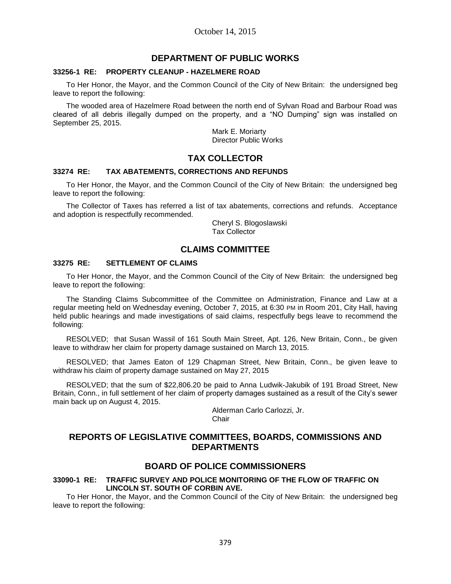# **DEPARTMENT OF PUBLIC WORKS**

#### **33256-1 RE: PROPERTY CLEANUP - HAZELMERE ROAD**

To Her Honor, the Mayor, and the Common Council of the City of New Britain: the undersigned beg leave to report the following:

The wooded area of Hazelmere Road between the north end of Sylvan Road and Barbour Road was cleared of all debris illegally dumped on the property, and a "NO Dumping" sign was installed on September 25, 2015.

> Mark E. Moriarty Director Public Works

## **TAX COLLECTOR**

#### **33274 RE: TAX ABATEMENTS, CORRECTIONS AND REFUNDS**

To Her Honor, the Mayor, and the Common Council of the City of New Britain: the undersigned beg leave to report the following:

The Collector of Taxes has referred a list of tax abatements, corrections and refunds. Acceptance and adoption is respectfully recommended.

> Cheryl S. Blogoslawski Tax Collector

## **CLAIMS COMMITTEE**

## **33275 RE: SETTLEMENT OF CLAIMS**

To Her Honor, the Mayor, and the Common Council of the City of New Britain: the undersigned beg leave to report the following:

The Standing Claims Subcommittee of the Committee on Administration, Finance and Law at a regular meeting held on Wednesday evening, October 7, 2015, at 6:30 PM in Room 201, City Hall, having held public hearings and made investigations of said claims, respectfully begs leave to recommend the following:

RESOLVED; that Susan Wassil of 161 South Main Street, Apt. 126, New Britain, Conn., be given leave to withdraw her claim for property damage sustained on March 13, 2015.

RESOLVED; that James Eaton of 129 Chapman Street, New Britain, Conn., be given leave to withdraw his claim of property damage sustained on May 27, 2015

RESOLVED; that the sum of \$22,806.20 be paid to Anna Ludwik-Jakubik of 191 Broad Street, New Britain, Conn., in full settlement of her claim of property damages sustained as a result of the City's sewer main back up on August 4, 2015.

> Alderman Carlo Carlozzi, Jr. **Chair**

## **REPORTS OF LEGISLATIVE COMMITTEES, BOARDS, COMMISSIONS AND DEPARTMENTS**

## **BOARD OF POLICE COMMISSIONERS**

#### **33090-1 RE: TRAFFIC SURVEY AND POLICE MONITORING OF THE FLOW OF TRAFFIC ON LINCOLN ST. SOUTH OF CORBIN AVE.**

To Her Honor, the Mayor, and the Common Council of the City of New Britain: the undersigned beg leave to report the following: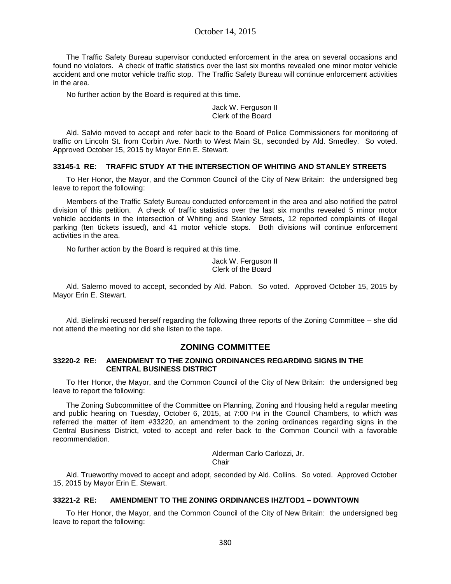October 14, 2015

The Traffic Safety Bureau supervisor conducted enforcement in the area on several occasions and found no violators. A check of traffic statistics over the last six months revealed one minor motor vehicle accident and one motor vehicle traffic stop. The Traffic Safety Bureau will continue enforcement activities in the area.

No further action by the Board is required at this time.

Jack W. Ferguson II Clerk of the Board

Ald. Salvio moved to accept and refer back to the Board of Police Commissioners for monitoring of traffic on Lincoln St. from Corbin Ave. North to West Main St., seconded by Ald. Smedley. So voted. Approved October 15, 2015 by Mayor Erin E. Stewart.

### **33145-1 RE: TRAFFIC STUDY AT THE INTERSECTION OF WHITING AND STANLEY STREETS**

To Her Honor, the Mayor, and the Common Council of the City of New Britain: the undersigned beg leave to report the following:

Members of the Traffic Safety Bureau conducted enforcement in the area and also notified the patrol division of this petition. A check of traffic statistics over the last six months revealed 5 minor motor vehicle accidents in the intersection of Whiting and Stanley Streets, 12 reported complaints of illegal parking (ten tickets issued), and 41 motor vehicle stops. Both divisions will continue enforcement activities in the area.

No further action by the Board is required at this time.

Jack W. Ferguson II Clerk of the Board

Ald. Salerno moved to accept, seconded by Ald. Pabon. So voted. Approved October 15, 2015 by Mayor Erin E. Stewart.

Ald. Bielinski recused herself regarding the following three reports of the Zoning Committee – she did not attend the meeting nor did she listen to the tape.

# **ZONING COMMITTEE**

### **33220-2 RE: AMENDMENT TO THE ZONING ORDINANCES REGARDING SIGNS IN THE CENTRAL BUSINESS DISTRICT**

To Her Honor, the Mayor, and the Common Council of the City of New Britain: the undersigned beg leave to report the following:

The Zoning Subcommittee of the Committee on Planning, Zoning and Housing held a regular meeting and public hearing on Tuesday, October 6, 2015, at 7:00 PM in the Council Chambers, to which was referred the matter of item #33220, an amendment to the zoning ordinances regarding signs in the Central Business District, voted to accept and refer back to the Common Council with a favorable recommendation.

> Alderman Carlo Carlozzi, Jr. Chair

Ald. Trueworthy moved to accept and adopt, seconded by Ald. Collins. So voted. Approved October 15, 2015 by Mayor Erin E. Stewart.

## **33221-2 RE: AMENDMENT TO THE ZONING ORDINANCES IHZ/TOD1 – DOWNTOWN**

To Her Honor, the Mayor, and the Common Council of the City of New Britain: the undersigned beg leave to report the following: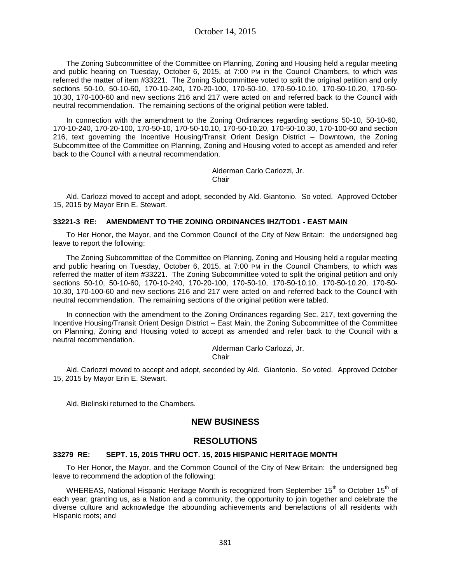The Zoning Subcommittee of the Committee on Planning, Zoning and Housing held a regular meeting and public hearing on Tuesday, October 6, 2015, at 7:00 PM in the Council Chambers, to which was referred the matter of item #33221. The Zoning Subcommittee voted to split the original petition and only sections 50-10, 50-10-60, 170-10-240, 170-20-100, 170-50-10, 170-50-10.10, 170-50-10.20, 170-50- 10.30, 170-100-60 and new sections 216 and 217 were acted on and referred back to the Council with neutral recommendation. The remaining sections of the original petition were tabled.

In connection with the amendment to the Zoning Ordinances regarding sections 50-10, 50-10-60, 170-10-240, 170-20-100, 170-50-10, 170-50-10.10, 170-50-10.20, 170-50-10.30, 170-100-60 and section 216, text governing the Incentive Housing/Transit Orient Design District – Downtown, the Zoning Subcommittee of the Committee on Planning, Zoning and Housing voted to accept as amended and refer back to the Council with a neutral recommendation.

> Alderman Carlo Carlozzi, Jr. **Chair**

Ald. Carlozzi moved to accept and adopt, seconded by Ald. Giantonio. So voted. Approved October 15, 2015 by Mayor Erin E. Stewart.

### **33221-3 RE: AMENDMENT TO THE ZONING ORDINANCES IHZ/TOD1 - EAST MAIN**

To Her Honor, the Mayor, and the Common Council of the City of New Britain: the undersigned beg leave to report the following:

The Zoning Subcommittee of the Committee on Planning, Zoning and Housing held a regular meeting and public hearing on Tuesday, October 6, 2015, at 7:00 PM in the Council Chambers, to which was referred the matter of item #33221. The Zoning Subcommittee voted to split the original petition and only sections 50-10, 50-10-60, 170-10-240, 170-20-100, 170-50-10, 170-50-10.10, 170-50-10.20, 170-50- 10.30, 170-100-60 and new sections 216 and 217 were acted on and referred back to the Council with neutral recommendation. The remaining sections of the original petition were tabled.

In connection with the amendment to the Zoning Ordinances regarding Sec. 217, text governing the Incentive Housing/Transit Orient Design District – East Main, the Zoning Subcommittee of the Committee on Planning, Zoning and Housing voted to accept as amended and refer back to the Council with a neutral recommendation.

> Alderman Carlo Carlozzi, Jr. Chair

Ald. Carlozzi moved to accept and adopt, seconded by Ald. Giantonio. So voted. Approved October 15, 2015 by Mayor Erin E. Stewart.

Ald. Bielinski returned to the Chambers.

# **NEW BUSINESS**

# **RESOLUTIONS**

## **33279 RE: SEPT. 15, 2015 THRU OCT. 15, 2015 HISPANIC HERITAGE MONTH**

To Her Honor, the Mayor, and the Common Council of the City of New Britain: the undersigned beg leave to recommend the adoption of the following:

WHEREAS, National Hispanic Heritage Month is recognized from September 15<sup>th</sup> to October 15<sup>th</sup> of each year; granting us, as a Nation and a community, the opportunity to join together and celebrate the diverse culture and acknowledge the abounding achievements and benefactions of all residents with Hispanic roots; and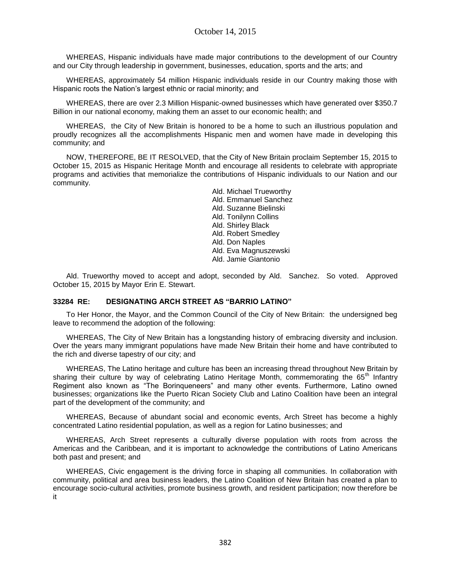WHEREAS, Hispanic individuals have made major contributions to the development of our Country and our City through leadership in government, businesses, education, sports and the arts; and

WHEREAS, approximately 54 million Hispanic individuals reside in our Country making those with Hispanic roots the Nation's largest ethnic or racial minority; and

WHEREAS, there are over 2.3 Million Hispanic-owned businesses which have generated over \$350.7 Billion in our national economy, making them an asset to our economic health; and

WHEREAS, the City of New Britain is honored to be a home to such an illustrious population and proudly recognizes all the accomplishments Hispanic men and women have made in developing this community; and

NOW, THEREFORE, BE IT RESOLVED, that the City of New Britain proclaim September 15, 2015 to October 15, 2015 as Hispanic Heritage Month and encourage all residents to celebrate with appropriate programs and activities that memorialize the contributions of Hispanic individuals to our Nation and our community.

> Ald. Michael Trueworthy Ald. Emmanuel Sanchez Ald. Suzanne Bielinski Ald. Tonilynn Collins Ald. Shirley Black Ald. Robert Smedley Ald. Don Naples Ald. Eva Magnuszewski Ald. Jamie Giantonio

Ald. Trueworthy moved to accept and adopt, seconded by Ald. Sanchez. So voted. Approved October 15, 2015 by Mayor Erin E. Stewart.

## **33284 RE: DESIGNATING ARCH STREET AS "BARRIO LATINO"**

To Her Honor, the Mayor, and the Common Council of the City of New Britain: the undersigned beg leave to recommend the adoption of the following:

WHEREAS, The City of New Britain has a longstanding history of embracing diversity and inclusion. Over the years many immigrant populations have made New Britain their home and have contributed to the rich and diverse tapestry of our city; and

WHEREAS, The Latino heritage and culture has been an increasing thread throughout New Britain by sharing their culture by way of celebrating Latino Heritage Month, commemorating the 65<sup>th</sup> Infantry Regiment also known as "The Borinqueneers" and many other events. Furthermore, Latino owned businesses; organizations like the Puerto Rican Society Club and Latino Coalition have been an integral part of the development of the community; and

WHEREAS, Because of abundant social and economic events, Arch Street has become a highly concentrated Latino residential population, as well as a region for Latino businesses; and

WHEREAS, Arch Street represents a culturally diverse population with roots from across the Americas and the Caribbean, and it is important to acknowledge the contributions of Latino Americans both past and present; and

WHEREAS, Civic engagement is the driving force in shaping all communities. In collaboration with community, political and area business leaders, the Latino Coalition of New Britain has created a plan to encourage socio-cultural activities, promote business growth, and resident participation; now therefore be it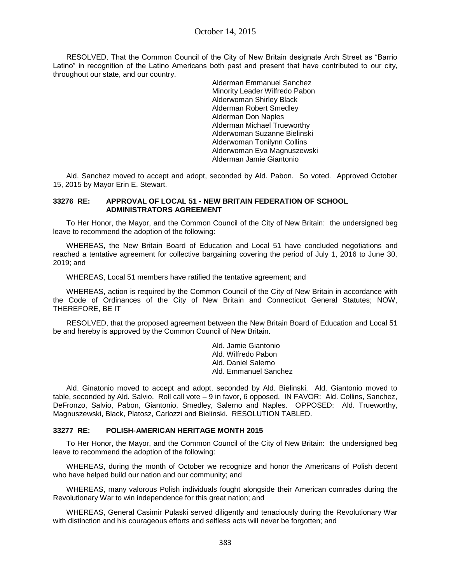RESOLVED, That the Common Council of the City of New Britain designate Arch Street as "Barrio Latino" in recognition of the Latino Americans both past and present that have contributed to our city, throughout our state, and our country.

> Alderman Emmanuel Sanchez Minority Leader Wilfredo Pabon Alderwoman Shirley Black Alderman Robert Smedley Alderman Don Naples Alderman Michael Trueworthy Alderwoman Suzanne Bielinski Alderwoman Tonilynn Collins Alderwoman Eva Magnuszewski Alderman Jamie Giantonio

Ald. Sanchez moved to accept and adopt, seconded by Ald. Pabon. So voted. Approved October 15, 2015 by Mayor Erin E. Stewart.

## **33276 RE: APPROVAL OF LOCAL 51 - NEW BRITAIN FEDERATION OF SCHOOL ADMINISTRATORS AGREEMENT**

To Her Honor, the Mayor, and the Common Council of the City of New Britain: the undersigned beg leave to recommend the adoption of the following:

WHEREAS, the New Britain Board of Education and Local 51 have concluded negotiations and reached a tentative agreement for collective bargaining covering the period of July 1, 2016 to June 30, 2019; and

WHEREAS, Local 51 members have ratified the tentative agreement; and

WHEREAS, action is required by the Common Council of the City of New Britain in accordance with the Code of Ordinances of the City of New Britain and Connecticut General Statutes; NOW, THEREFORE, BE IT

RESOLVED, that the proposed agreement between the New Britain Board of Education and Local 51 be and hereby is approved by the Common Council of New Britain.

> Ald. Jamie Giantonio Ald. Wilfredo Pabon Ald. Daniel Salerno Ald. Emmanuel Sanchez

Ald. Ginatonio moved to accept and adopt, seconded by Ald. Bielinski. Ald. Giantonio moved to table, seconded by Ald. Salvio. Roll call vote – 9 in favor, 6 opposed. IN FAVOR: Ald. Collins, Sanchez, DeFronzo, Salvio, Pabon, Giantonio, Smedley, Salerno and Naples. OPPOSED: Ald. Trueworthy, Magnuszewski, Black, Platosz, Carlozzi and Bielinski. RESOLUTION TABLED.

### **33277 RE: POLISH-AMERICAN HERITAGE MONTH 2015**

To Her Honor, the Mayor, and the Common Council of the City of New Britain: the undersigned beg leave to recommend the adoption of the following:

WHEREAS, during the month of October we recognize and honor the Americans of Polish decent who have helped build our nation and our community; and

WHEREAS, many valorous Polish individuals fought alongside their American comrades during the Revolutionary War to win independence for this great nation; and

WHEREAS, General Casimir Pulaski served diligently and tenaciously during the Revolutionary War with distinction and his courageous efforts and selfless acts will never be forgotten; and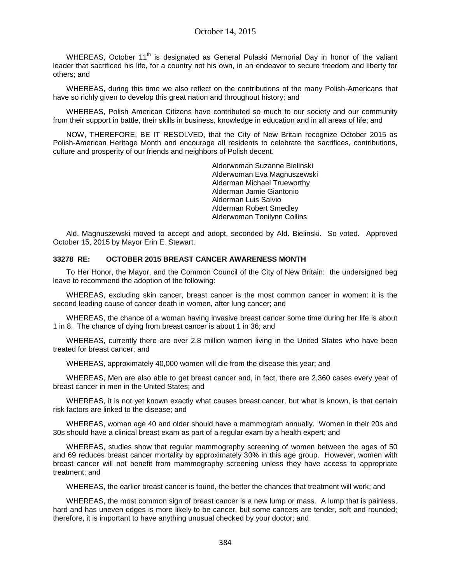WHEREAS, October  $11<sup>th</sup>$  is designated as General Pulaski Memorial Day in honor of the valiant leader that sacrificed his life, for a country not his own, in an endeavor to secure freedom and liberty for others; and

WHEREAS, during this time we also reflect on the contributions of the many Polish-Americans that have so richly given to develop this great nation and throughout history; and

WHEREAS, Polish American Citizens have contributed so much to our society and our community from their support in battle, their skills in business, knowledge in education and in all areas of life; and

NOW, THEREFORE, BE IT RESOLVED, that the City of New Britain recognize October 2015 as Polish-American Heritage Month and encourage all residents to celebrate the sacrifices, contributions, culture and prosperity of our friends and neighbors of Polish decent.

> Alderwoman Suzanne Bielinski Alderwoman Eva Magnuszewski Alderman Michael Trueworthy Alderman Jamie Giantonio Alderman Luis Salvio Alderman Robert Smedley Alderwoman Tonilynn Collins

Ald. Magnuszewski moved to accept and adopt, seconded by Ald. Bielinski. So voted. Approved October 15, 2015 by Mayor Erin E. Stewart.

## **33278 RE: OCTOBER 2015 BREAST CANCER AWARENESS MONTH**

To Her Honor, the Mayor, and the Common Council of the City of New Britain: the undersigned beg leave to recommend the adoption of the following:

WHEREAS, excluding skin cancer, breast cancer is the most common cancer in women: it is the second leading cause of cancer death in women, after lung cancer; and

WHEREAS, the chance of a woman having invasive breast cancer some time during her life is about 1 in 8. The chance of dying from breast cancer is about 1 in 36; and

WHEREAS, currently there are over 2.8 million women living in the United States who have been treated for breast cancer; and

WHEREAS, approximately 40,000 women will die from the disease this year; and

WHEREAS, Men are also able to get breast cancer and, in fact, there are 2,360 cases every year of breast cancer in men in the United States; and

WHEREAS, it is not yet known exactly what causes breast cancer, but what is known, is that certain risk factors are linked to the disease; and

WHEREAS, woman age 40 and older should have a mammogram annually. Women in their 20s and 30s should have a clinical breast exam as part of a regular exam by a health expert; and

WHEREAS, studies show that regular mammography screening of women between the ages of 50 and 69 reduces breast cancer mortality by approximately 30% in this age group. However, women with breast cancer will not benefit from mammography screening unless they have access to appropriate treatment; and

WHEREAS, the earlier breast cancer is found, the better the chances that treatment will work; and

WHEREAS, the most common sign of breast cancer is a new lump or mass. A lump that is painless, hard and has uneven edges is more likely to be cancer, but some cancers are tender, soft and rounded; therefore, it is important to have anything unusual checked by your doctor; and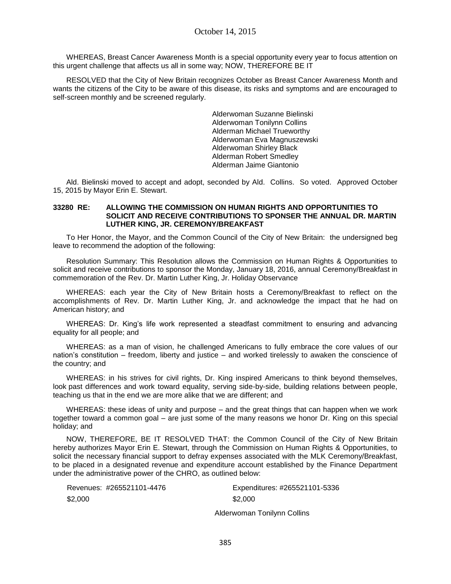WHEREAS, Breast Cancer Awareness Month is a special opportunity every year to focus attention on this urgent challenge that affects us all in some way; NOW, THEREFORE BE IT

RESOLVED that the City of New Britain recognizes October as Breast Cancer Awareness Month and wants the citizens of the City to be aware of this disease, its risks and symptoms and are encouraged to self-screen monthly and be screened regularly.

> Alderwoman Suzanne Bielinski Alderwoman Tonilynn Collins Alderman Michael Trueworthy Alderwoman Eva Magnuszewski Alderwoman Shirley Black Alderman Robert Smedley Alderman Jaime Giantonio

Ald. Bielinski moved to accept and adopt, seconded by Ald. Collins. So voted. Approved October 15, 2015 by Mayor Erin E. Stewart.

#### **33280 RE: ALLOWING THE COMMISSION ON HUMAN RIGHTS AND OPPORTUNITIES TO SOLICIT AND RECEIVE CONTRIBUTIONS TO SPONSER THE ANNUAL DR. MARTIN LUTHER KING, JR. CEREMONY/BREAKFAST**

To Her Honor, the Mayor, and the Common Council of the City of New Britain: the undersigned beg leave to recommend the adoption of the following:

Resolution Summary: This Resolution allows the Commission on Human Rights & Opportunities to solicit and receive contributions to sponsor the Monday, January 18, 2016, annual Ceremony/Breakfast in commemoration of the Rev. Dr. Martin Luther King, Jr. Holiday Observance

WHEREAS: each year the City of New Britain hosts a Ceremony/Breakfast to reflect on the accomplishments of Rev. Dr. Martin Luther King, Jr. and acknowledge the impact that he had on American history; and

WHEREAS: Dr. King's life work represented a steadfast commitment to ensuring and advancing equality for all people; and

WHEREAS: as a man of vision, he challenged Americans to fully embrace the core values of our nation's constitution – freedom, liberty and justice – and worked tirelessly to awaken the conscience of the country; and

WHEREAS: in his strives for civil rights, Dr. King inspired Americans to think beyond themselves, look past differences and work toward equality, serving side-by-side, building relations between people, teaching us that in the end we are more alike that we are different; and

WHEREAS: these ideas of unity and purpose – and the great things that can happen when we work together toward a common goal – are just some of the many reasons we honor Dr. King on this special holiday; and

NOW, THEREFORE, BE IT RESOLVED THAT: the Common Council of the City of New Britain hereby authorizes Mayor Erin E. Stewart, through the Commission on Human Rights & Opportunities, to solicit the necessary financial support to defray expenses associated with the MLK Ceremony/Breakfast, to be placed in a designated revenue and expenditure account established by the Finance Department under the administrative power of the CHRO, as outlined below:

|         | Revenues: #265521101-4476 |
|---------|---------------------------|
| \$2,000 |                           |

Expenditures: #265521101-5336 \$2,000

Alderwoman Tonilynn Collins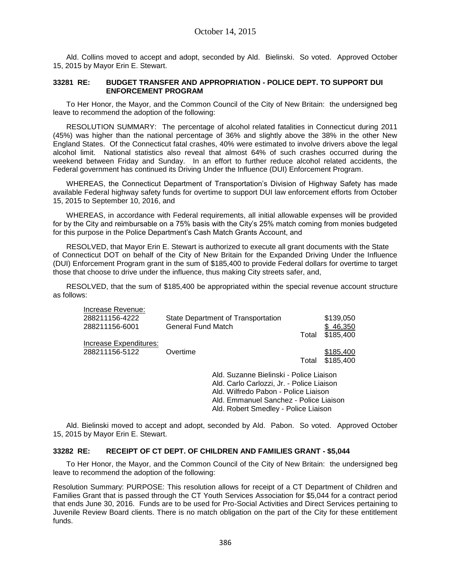Ald. Collins moved to accept and adopt, seconded by Ald. Bielinski. So voted. Approved October 15, 2015 by Mayor Erin E. Stewart.

### **33281 RE: BUDGET TRANSFER AND APPROPRIATION - POLICE DEPT. TO SUPPORT DUI ENFORCEMENT PROGRAM**

To Her Honor, the Mayor, and the Common Council of the City of New Britain: the undersigned beg leave to recommend the adoption of the following:

RESOLUTION SUMMARY: The percentage of alcohol related fatalities in Connecticut during 2011 (45%) was higher than the national percentage of 36% and slightly above the 38% in the other New England States. Of the Connecticut fatal crashes, 40% were estimated to involve drivers above the legal alcohol limit. National statistics also reveal that almost 64% of such crashes occurred during the weekend between Friday and Sunday. In an effort to further reduce alcohol related accidents, the Federal government has continued its Driving Under the Influence (DUI) Enforcement Program.

WHEREAS, the Connecticut Department of Transportation's Division of Highway Safety has made available Federal highway safety funds for overtime to support DUI law enforcement efforts from October 15, 2015 to September 10, 2016, and

WHEREAS, in accordance with Federal requirements, all initial allowable expenses will be provided for by the City and reimbursable on a 75% basis with the City's 25% match coming from monies budgeted for this purpose in the Police Department's Cash Match Grants Account, and

RESOLVED, that Mayor Erin E. Stewart is authorized to execute all grant documents with the State of Connecticut DOT on behalf of the City of New Britain for the Expanded Driving Under the Influence (DUI) Enforcement Program grant in the sum of \$185,400 to provide Federal dollars for overtime to target those that choose to drive under the influence, thus making City streets safer, and,

RESOLVED, that the sum of \$185,400 be appropriated within the special revenue account structure as follows:

| Increase Revenue:      |                                           |       |           |
|------------------------|-------------------------------------------|-------|-----------|
| 288211156-4222         | State Department of Transportation        |       | \$139,050 |
| 288211156-6001         | General Fund Match                        |       | \$46,350  |
|                        |                                           | Total | \$185,400 |
| Increase Expenditures: |                                           |       |           |
| 288211156-5122         | Overtime                                  |       | \$185,400 |
|                        |                                           | Total | \$185,400 |
|                        | Ald. Suzanne Bielinski - Police Liaison   |       |           |
|                        | Ald. Carlo Carlozzi, Jr. - Police Liaison |       |           |
|                        | Ald. Wilfredo Pabon - Police Liaison      |       |           |
|                        | Ald. Emmanuel Sanchez - Police Liaison    |       |           |

Ald. Robert Smedley - Police Liaison

Ald. Bielinski moved to accept and adopt, seconded by Ald. Pabon. So voted. Approved October 15, 2015 by Mayor Erin E. Stewart.

### **33282 RE: RECEIPT OF CT DEPT. OF CHILDREN AND FAMILIES GRANT - \$5,044**

To Her Honor, the Mayor, and the Common Council of the City of New Britain: the undersigned beg leave to recommend the adoption of the following:

Resolution Summary: PURPOSE: This resolution allows for receipt of a CT Department of Children and Families Grant that is passed through the CT Youth Services Association for \$5,044 for a contract period that ends June 30, 2016. Funds are to be used for Pro-Social Activities and Direct Services pertaining to Juvenile Review Board clients. There is no match obligation on the part of the City for these entitlement funds.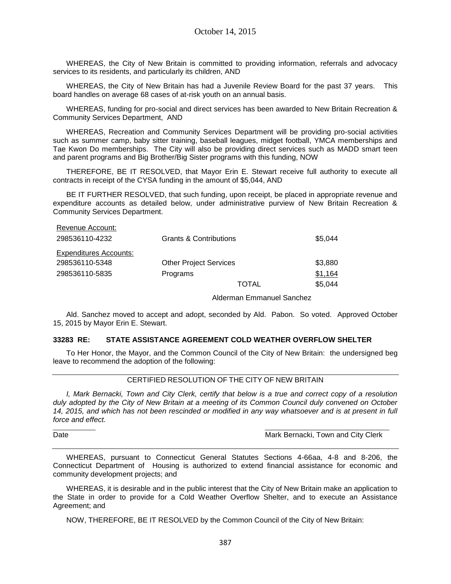WHEREAS, the City of New Britain is committed to providing information, referrals and advocacy services to its residents, and particularly its children, AND

WHEREAS, the City of New Britain has had a Juvenile Review Board for the past 37 years. This board handles on average 68 cases of at-risk youth on an annual basis.

WHEREAS, funding for pro-social and direct services has been awarded to New Britain Recreation & Community Services Department, AND

WHEREAS, Recreation and Community Services Department will be providing pro-social activities such as summer camp, baby sitter training, baseball leagues, midget football, YMCA memberships and Tae Kwon Do memberships. The City will also be providing direct services such as MADD smart teen and parent programs and Big Brother/Big Sister programs with this funding, NOW

THEREFORE, BE IT RESOLVED, that Mayor Erin E. Stewart receive full authority to execute all contracts in receipt of the CYSA funding in the amount of \$5,044, AND

BE IT FURTHER RESOLVED, that such funding, upon receipt, be placed in appropriate revenue and expenditure accounts as detailed below, under administrative purview of New Britain Recreation & Community Services Department.

| Revenue Account:              |                                   |         |
|-------------------------------|-----------------------------------|---------|
| 298536110-4232                | <b>Grants &amp; Contributions</b> | \$5.044 |
| <b>Expenditures Accounts:</b> |                                   |         |
| 298536110-5348                | <b>Other Project Services</b>     | \$3,880 |
| 298536110-5835                | Programs                          | \$1.164 |
|                               | TOTAL                             | \$5.044 |

#### Alderman Emmanuel Sanchez

Ald. Sanchez moved to accept and adopt, seconded by Ald. Pabon. So voted. Approved October 15, 2015 by Mayor Erin E. Stewart.

#### **33283 RE: STATE ASSISTANCE AGREEMENT COLD WEATHER OVERFLOW SHELTER**

To Her Honor, the Mayor, and the Common Council of the City of New Britain: the undersigned beg leave to recommend the adoption of the following:

### CERTIFIED RESOLUTION OF THE CITY OF NEW BRITAIN

*I, Mark Bernacki, Town and City Clerk, certify that below is a true and correct copy of a resolution duly adopted by the City of New Britain at a meeting of its Common Council duly convened on October 14, 2015, and which has not been rescinded or modified in any way whatsoever and is at present in full force and effect.*

 $\overline{\phantom{a}}$  , and the contribution of the contribution of the contribution of the contribution of the contribution of the contribution of the contribution of the contribution of the contribution of the contribution of the

Date **Date Mark Bernacki, Town and City Clerk** Mark Bernacki, Town and City Clerk

WHEREAS, pursuant to Connecticut General Statutes Sections 4-66aa, 4-8 and 8-206, the Connecticut Department of Housing is authorized to extend financial assistance for economic and community development projects; and

WHEREAS, it is desirable and in the public interest that the City of New Britain make an application to the State in order to provide for a Cold Weather Overflow Shelter, and to execute an Assistance Agreement; and

NOW, THEREFORE, BE IT RESOLVED by the Common Council of the City of New Britain: